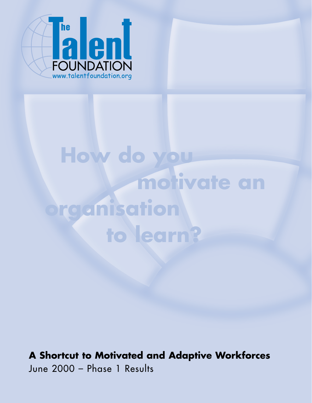

## **How do you motivate an organisation to learn?**

### **A Shortcut to Motivated and Adaptive Workforces** June 2000 – Phase 1 Results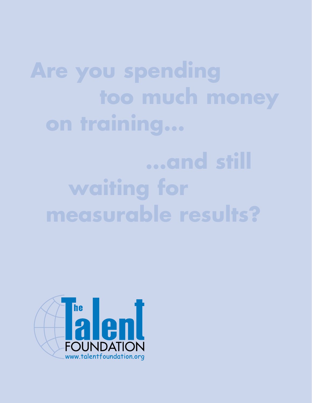**Are you spending too much money on training...**

# **waiting for measurable results?**

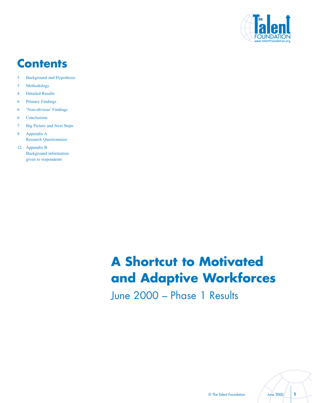

### **Contents**

- 3 Background and Hypothesis
- 3 Methodology
- 4 Detailed Results
- 6 Primary Findings
- 6 **Kon-obvious** Findings
- 6 Conclusions
- 7 Big Picture and Next Steps
- 8 Appendix A Research Questionnaire
- 12 Appendix B Background information given to respondents

## **A Shortcut to Motivated and Adaptive Workforces**

June 2000 – Phase 1 Results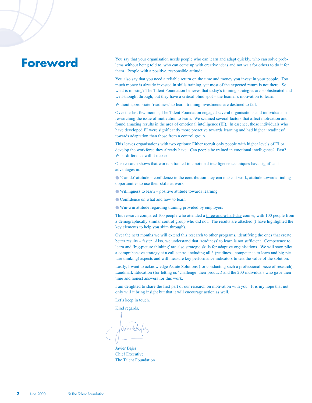#### **Foreword**

You say that your organisation needs people who can learn and adapt quickly, who can solve problems without being told to, who can come up with creative ideas and not wait for others to do it for them. People with a positive, responsible attitude.

You also say that you need a reliable return on the time and money you invest in your people. Too much money is already invested in skills training, yet most of the expected return is not there. So, what is missing? The Talent Foundation believes that today's training strategies are sophisticated and well-thought through, but they have a critical blind spot – the learner's motivation to learn.

Without appropriate 'readiness' to learn, training investments are destined to fail.

Over the last few months, The Talent Foundation engaged several organisations and individuals in researching the issue of motivation to learn. We scanned several factors that affect motivation and found amazing results in the area of emotional intelligence (EI). In essence, those individuals who have developed EI were significantly more proactive towards learning and had higher 'readiness' towards adaptation than those from a control group.

This leaves organisations with two options: Either recruit only people with higher levels of EI or develop the workforce they already have. Can people be trained in emotional intelligence? Fast? What difference will it make?

Our research shows that workers trained in emotional intelligence techniques have significant advantages in:

 $\bullet$  'Can do' attitude – confidence in the contribution they can make at work, attitude towards finding opportunities to use their skills at work

 $\bullet$  Willingness to learn  $-$  positive attitude towards learning

● Confidence on what and how to learn

● Win-win attitude regarding training provided by employers

This research compared 100 people who attended a three-and-a-half-day course, with 100 people from a demographically similar control group who did not. The results are attached (I have highlighted the key elements to help you skim through).

Over the next months we will extend this research to other programs, identifying the ones that create better results – faster. Also, we understand that 'readiness' to learn is not sufficient. Competence to learn and 'big-picture thinking' are also strategic skills for adaptive organisations. We will soon pilot a comprehensive strategy at a call centre, including all 3 (readiness, competence to learn and big-picture thinking) aspects and will measure key performance indicators to test the value of the solution.

Lastly, I want to acknowledge Astute Solutions (for conducting such a professional piece of research), Landmark Education (for letting us 'challenge' their product) and the 200 individuals who gave their time and honest answers for this work.

I am delighted to share the first part of our research on motivation with you. It is my hope that not only will it bring insight but that it will encourage action as well.

Let's keep in touch.

Kind regards,

 $M_A$ ier $K_S$ 

Javier Bajer Chief Executive The Talent Foundation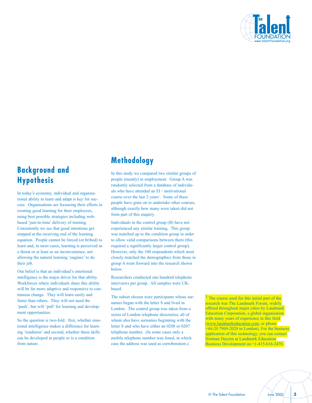

#### **Background and Hypothesis**

In today's economy, individual and organisational ability to learn and adapt is key for success. Organisations are focussing their efforts in creating good learning for their employees, using best possible strategies including webbased 'just-in-time' delivery of training. Consistently we see that good intentions get stopped at the receiving end of the learning equation. People cannot be forced (or bribed) to learn and, in most cases, learning is perceived as a threat or at least as an inconvenience, not allowing the natural learning 'engines' to do their job.

Our belief is that an individual's emotional intelligence is the major driver for that ability. Workforces where individuals share this ability will be far more adaptive and responsive to continuous change. They will learn easily and faster than others. They will not need the 'push', but will 'pull' for learning and development opportunities.

So the question is two-fold: first, whether emotional intelligence makes a difference for learning 'readiness' and second, whether these skills can be developed in people or is a condition from nature.

#### **Methodology**

In this study we compared two similar groups of people (mainly) in employment. Group A was randomly selected from a database of individuals who have attended an EI / motivational course over the last 2 years<sup>1</sup>. Some of these people have gone on to undertake other courses, although exactly how many were taken did not form part of this enquiry.

Individuals in the control group (B) have not experienced any similar training. This group was matched up to the condition group in order to allow valid comparisons between them (this required a significantly larger control group). However, only the 100 respondents which most closely matched the demographics from those in group A went forward into the research shown below.

Researchers conducted one hundred telephone interviews per group. All samples were UKbased.

The subset chosen were participants whose surnames began with the letter S and lived in London. The control group was taken from a series of London telephone directories, all of whom also have surnames beginning with the letter S and who have either an 0208 or 0207 telephone number. (In some cases only a mobile telephone number was listed, in which case the address was used as corroboration.).

 $<sup>1</sup>$  The course used for this initial part of the</sup> research was The Landmark Forum, widely research was The Landmark Forum, widely offered throughout major cities by Landmark offered throughout major cities by Landmark Education Corporation, a global organisation Education Corporation, a global organisation with many years of experience in this field (www.landmarkeducation.com, or phone  $+44-20$  7969-2020 in London). For the business application of this technology, you can contact application of this technology, you can contact Norman Dayron at Landmark Education Norman Dayron at Landmark Education Business Development on +1-415-616-2478.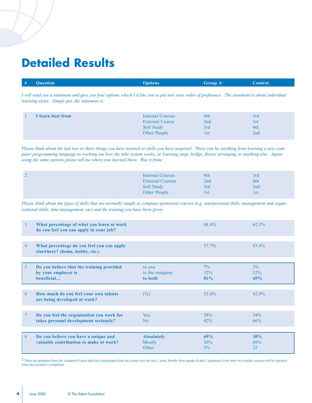### **Detailed Results**

| # | <b>Question</b> | <b>Options</b> | Group A <sup>2</sup> | <b>Control</b> |
|---|-----------------|----------------|----------------------|----------------|
|   |                 |                |                      |                |

*I will read you a statement and give you four options which Iíd like you to put into your order of preference. The statement is about individual learning styles. Simply put, the statement is:*

| I learn best from | <b>Internal Courses</b><br><b>External Course</b><br><b>Self Study</b> | 4th<br>2nd<br>3rd | 3rd<br>l st<br>4th |  |
|-------------------|------------------------------------------------------------------------|-------------------|--------------------|--|
|                   | Other People                                                           | 1st               | 2nd                |  |

*Please think about the last two or three things you have learned or skills you have acquired. These can be anything from learning a new computer programming language to working out how the tube system works, or learning snap, bridge, flower arranging or anything else. Again, using the same options please tell me where you learned these. Was it from:*

| <b>Internal Courses</b> | 4th | 3rd  |  |
|-------------------------|-----|------|--|
| <b>External Courses</b> | 2nd | 4th  |  |
| <b>Self Study</b>       | 3rd | 2nd  |  |
| Other People            | 1st | l st |  |

*Please think about the types of skills that are normally taught at company-sponsored courses (e.g. interpersonal skills, management and organisational skills, time management, etc) and the training you have been given.*

| 3      | What percentage of what you learn at work<br>do you feel you can apply in your job? |                                      | 68.4%               | 62.3%               |
|--------|-------------------------------------------------------------------------------------|--------------------------------------|---------------------|---------------------|
| 4      | What percentage do you feel you can apply<br>elsewhere? (home, hobby, etc.)         |                                      | $57.7\%$            | $43.4\%$            |
| 5      | Do you believe that the training provided<br>by your employer is<br>beneficial      | to you<br>to the company<br>to both  | $7\%$<br>12%<br>81% | $3\%$<br>52%<br>45% |
| 6      | How much do you feel your own talents<br>are being developed at work?               | (%)                                  | 52.4%               | 42.8%               |
| $\tau$ | Do you feel the organisation you work for<br>takes personal development seriously?  | <b>Yes</b><br>No                     | 58%<br>42%          | 34%<br>66%          |
| 8      | Do you believe you have a unique and<br>valuable contribution to make at work?      | <b>Absolutely</b><br>Mostly<br>Other | 69%<br>26%<br>5%    | 30%<br>48%<br>22    |

<sup>2</sup> These are graduates from the Landmark Forum that have participated from the course over the last 2 years. Results from groups B and C (graduates from other two similar courses) will be reported when the research is completed.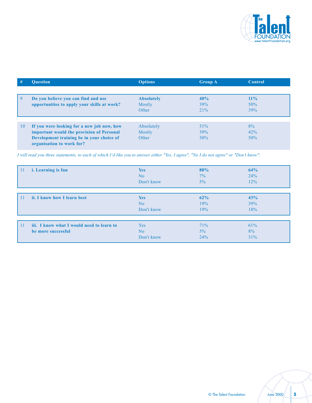

| #  | <b>Ouestion</b>                                                        | <b>Options</b>    | <b>Group A</b> | <b>Control</b> |
|----|------------------------------------------------------------------------|-------------------|----------------|----------------|
|    |                                                                        |                   |                |                |
| -9 | Do you believe you can find and use                                    | <b>Absolutely</b> | 40%            | $11\%$         |
|    | opportunities to apply your skills at work?                            | Mostly            | 39%            | 50%            |
|    |                                                                        | Other             | 21%            | 39%            |
|    |                                                                        |                   |                |                |
| 10 | If you were looking for a new job now, how                             | Absolutely        | 31%            | 8%             |
|    | important would the provision of Personal                              | <b>Mostly</b>     | 39%            | 42%            |
|    | Development training be in your choice of<br>organisation to work for? | Other             | 30%            | 50%            |

*I will read you three statements, to each of which Iíd like you to answer either "Yes, I agree", "No I do not agree" or "Donít know":*

| 11  | i. Learning is fun                                              | <b>Yes</b><br>No<br>Don't know | 88%<br>7%<br>$5\%$ | 64%<br>24%<br>12% |  |
|-----|-----------------------------------------------------------------|--------------------------------|--------------------|-------------------|--|
|     | ii. I know how I learn best                                     | <b>Yes</b><br>No<br>Don't know | 62%<br>19%<br>19%  | 43%<br>39%<br>18% |  |
| -11 | iii. I know what I would need to learn to<br>be more successful | Yes<br>No<br>Don't know        | 71%<br>5%<br>24%   | 61%<br>8%<br>31%  |  |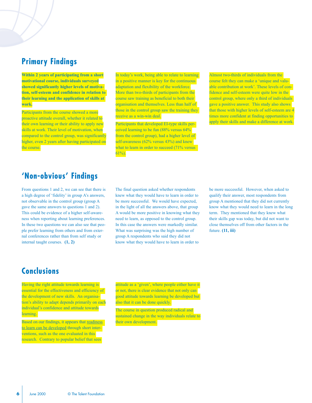#### **Primary Findings**

**Within 2 years of participating from a short Within 2 years of participating from a short motivational course, individuals surveyed motivational course, individuals surveyed showed significantly higher levels of motiva showed significantly higher levels of motivati on, self-esteem and confidence in relation to tion, self-esteem and confidence in relation to t heir learning and the application of skills at their learning and the application of skills at work. work.**

Participants from the course showed a more Participants from the course showed a more proactive attitude overall, whether it related to proactive attitude overall, whether it related to their own learning or their ability to apply new their own learning or their ability to apply new skills at work. Their level of motivation, when skills at work. Their level of motivation, when compared to the control group, was significantly compared to the control group, was significantly higher, even 2 years after having participated on higher, even 2 years after having participated on the course.

In today's work, being able to relate to learning in a positive manner is key for the continuous in a positive manner is key for the continuous adaptation and flexibility of the workforce. adaptation and flexibility of the workforce. More than two-thirds of participants from the course saw training as beneficial to both their organisation and themselves. Less than half of those in the control group saw the training they receive as a win-win deal.

Participants that developed EI-type skills perceived l earning to be fun (88% versus 64% ceived learning to be fun (88% versus 64% from the control group), had a higher level of self-awareness (62% versus 43%) and knew what to learn in order to succeed  $(71\% \text{ versus } \frac{1}{2})$ 61%). 61%).

#### Almost two-thirds of individuals from the

course felt they can make a 'unique and valuable contribution at work'. These levels of confidence and self-esteem were quite low in the fidence and self-esteem were quite low in the control group, where only a third of individuals gave a positive answer. This study also shows that those with higher levels of self-esteem are that those with higher levels of self-esteem are 4 times more confident at finding opportunities to apply their skills and make a difference at work.

#### **'Non-obvious' Findings**

From questions 1 and 2, we can see that there is a high degree of 'fidelity' in group A's answers, not observable in the control group (group A gave the same answers to questions 1 and 2). This could be evidence of a higher self-awareness when reporting about learning preferences. In these two questions we can also see that people prefer learning from others and from external conferences rather than from self study or internal taught courses. **(1, 2)**

The final question asked whether respondents knew what they would have to learn in order to be more successful. We would have expected, in the light of all the answers above, that group A would be more positive in knowing what they need to learn, as opposed to the control group. In this case the answers were markedly similar. What was surprising was the high number of group A respondents who said they did not know what they would have to learn in order to

be more successful. However, when asked to qualify their answer, most respondents from group A mentioned that they did not currently know what they would need to learn in the long term. They mentioned that they knew what their skills gap was today, but did not want to close themselves off from other factors in the future. **(11, iii)**

#### **Conclusions**

Having the right attitude towards learning is essential for the effectiveness and efficiency of the development of new skills. An organisation's ability to adapt depends primarily on each individual's confidence and attitude towards learning.

Based on our findings, it appears that **readiness** to learn can be developed through short interventions, such as the one evaluated in this research. Contrary to popular belief that sees

attitude as a 'given', where people either have it or not, there is clear evidence that not only can good attitude towards learning be developed but also that it can be done quickly.

The course in question produced radical and sustained change in the way individuals relate to their own development.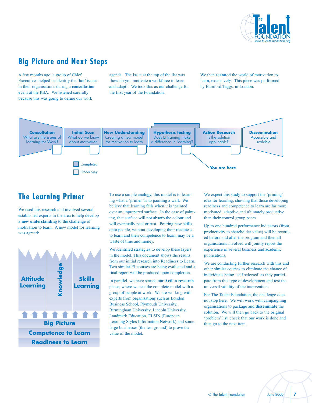

#### **Big Picture and Next Steps**

A few months ago, a group of Chief Executives helped us identify the 'hot' issues in their organisations during a **consultation** event at the RSA. We listened carefully because this was going to define our work

agenda. The issue at the top of the list was ëhow do you motivate a workforce to learn and adapt'. We took this as our challenge for the first year of the Foundation.

We then **scanned** the world of motivation to learn, extensively. This piece was performed by Bamford Taggs, in London.



#### **The Learning Primer**

We used this research and involved several established experts in the area to help develop a **new understanding** to the challenge of motivation to learn. A new model for learning was agreed:



To use a simple analogy, this model is to learning what a 'primer' is to painting a wall. We believe that learning fails when it is 'painted' over an unprepared surface. In the case of painting, that surface will not absorb the colour and will eventually peel or rust. Pouring new skills onto people, without developing their readiness to learn and their competence to learn, may be a waste of time and money.

We identified strategies to develop these layers in the model. This document shows the results from our initial research into Readiness to Learn. Two similar EI courses are being evaluated and a final report will be produced upon completion.

In parallel, we have started our **Action research** phase, where we test the complete model with a group of people at work. We are working with experts from organisations such as London Business School, Plymouth University, Birmingham University, Lincoln University, Landmark Education, ELSIN (European Learning Styles Information Network) and some large businesses (the test ground) to prove the value of the model.

We expect this study to support the 'priming' idea for learning, showing that those developing readiness and competence to learn are far more motivated, adaptive and ultimately productive than their control group peers.

Up to one hundred performance indicators (from productivity to shareholder value) will be recorded before and after the program and then all organisations involved will jointly report the experience in several business and academic publications.

We are conducting further research with this and other similar courses to eliminate the chance of individuals being 'self selected' as they participate from this type of development and test the universal validity of the intervention.

For The Talent Foundation, the challenge does not stop here. We will work with campaigning organisations to package and **disseminate** the solution. We will then go back to the original 'problem' list, check that our work is done and then go to the next item.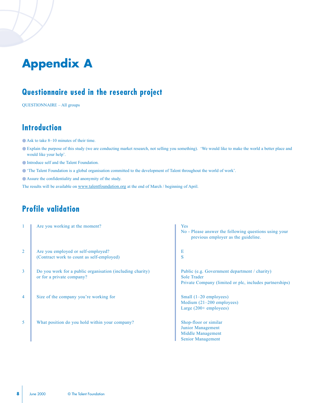## **Appendix A**

#### **Questionnaire used in the research project**

QUESTIONNAIRE - All groups

#### **Introduction**

- $\bullet$  Ask to take 8–10 minutes of their time.
- Explain the purpose of this study (we are conducting market research, not selling you something). 'We would like to make the world a better place and would like your help'.
- Introduce self and the Talent Foundation.
- ëThe Talent Foundation is a global organisation committed to the development of Talent throughout the world of workí.
- Assure the confidentiality and anonymity of the study.

The results will be available on www.talentfoundation.org at the end of March / beginning of April.

#### **Profile validation**

|                | Are you working at the moment?                                                         | Yes<br>No - Please answer the following questions using your<br>previous employer as the guideline.                            |
|----------------|----------------------------------------------------------------------------------------|--------------------------------------------------------------------------------------------------------------------------------|
| 2              | Are you employed or self-employed?<br>(Contract work to count as self-employed)        | E<br>S                                                                                                                         |
| $\overline{3}$ | Do you work for a public organisation (including charity)<br>or for a private company? | Public (e.g. Government department / charity)<br><b>Sole Trader</b><br>Private Company (limited or plc, includes partnerships) |
| $\overline{4}$ | Size of the company you're working for                                                 | Small $(1-20$ employees)<br>Medium $(21-200$ employees)<br>Large $(200+$ employees)                                            |
| 5              | What position do you hold within your company?                                         | Shop-floor or similar<br>Junior Management<br>Middle Management<br>Senior Management                                           |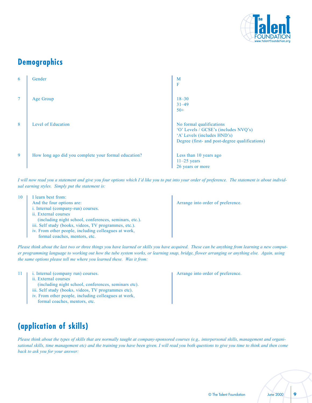

#### **Demographics**

| 6 | Gender                                               | M<br>F                                                                                                                                            |
|---|------------------------------------------------------|---------------------------------------------------------------------------------------------------------------------------------------------------|
| 7 | Age Group                                            | $18 - 30$<br>$31 - 49$<br>$50+$                                                                                                                   |
| 8 | Level of Education                                   | No formal qualifications<br>'O' Levels / GCSE's (includes NVQ's)<br>'A' Levels (includes HND's)<br>Degree (first- and post-degree qualifications) |
| 9 | How long ago did you complete your formal education? | Less than 10 years ago<br>$11-25$ years<br>26 years or more                                                                                       |

*I will now read you a statement and give you four options which Iíd like you to put into your order of preference. The statement is about individual earning styles. Simply put the statement is:*

| 10 | I learn best from:                                     |                                   |
|----|--------------------------------------------------------|-----------------------------------|
|    | And the four options are:                              | Arrange into order of preference. |
|    | i. Internal (company-run) courses.                     |                                   |
|    | ii. External courses                                   |                                   |
|    | (including night school, conferences, seminars, etc.). |                                   |
|    | iii. Self study (books, videos, TV programmes, etc.).  |                                   |
|    | iv. From other people, including colleagues at work,   |                                   |
|    | formal coaches, mentors, etc.                          |                                   |

*Please think about the last two or three things you have learned or skills you have acquired. These can be anything from learning a new computer programming language to working out how the tube system works, or learning snap, bridge, flower arranging or anything else. Again, using the same options please tell me where you learned these. Was it from:*

11 i. Internal (company run) courses.

- ii. External courses
- (including night school, conferences, seminars etc).
- iii. Self study (books, videos, TV programmes etc).
- iv. From other people, including colleagues at work,
- formal coaches, mentors, etc.

#### **(application of skills)**

*Please think about the types of skills that are normally taught at company-sponsored courses (e.g,. interpersonal skills, management and organisational skills, time management etc) and the training you have been given. I will read you both questions to give you time to think and then come back to ask you for your answer:*

© The Talent Foundation June 2000 **9**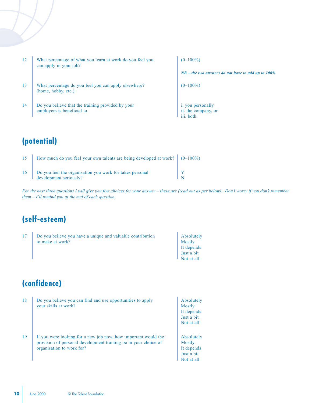| <sup>12</sup> | What percentage of what you learn at work do you feel you<br>can apply in your job? |
|---------------|-------------------------------------------------------------------------------------|
| 13            | What percentage do you feel you can apply elsewhere?<br>(home, hobby, etc.)         |
| -14           | Do you believe that the training provided by your<br>employers is beneficial to     |

 $(0-100\%)$ *NB – the two answers do not have to add up to 100%*  $(0-100\%)$ i. you personally ii. the company, or iii. both

#### **(potential)**

| 15      | How much do you feel your own talents are being developed at work? $\parallel$ (0-100%) |  |
|---------|-----------------------------------------------------------------------------------------|--|
| 16<br>٠ | Do you feel the organisation you work for takes personal<br>development seriously?      |  |

*For the next three questions I will give you five choices for your answer – these are (read out as per below). Don't worry if you don't remember them - I'll remind you at the end of each question.* 

#### **(self-esteem)**

| Do you believe you have a unique and valuable contribution | Absolutely                |
|------------------------------------------------------------|---------------------------|
| to make at work?                                           | Mostly                    |
|                                                            | It depends                |
|                                                            | Just a bit                |
|                                                            | $\blacksquare$ Not at all |

#### **(confidence)**

| 18 | Do you believe you can find and use opportunities to apply<br>your skills at work?                                                                             | Absolutely<br>Mostly<br>It depends<br>Just a bit<br>Not at all |
|----|----------------------------------------------------------------------------------------------------------------------------------------------------------------|----------------------------------------------------------------|
| 19 | If you were looking for a new job now, how important would the<br>provision of personal development training be in your choice of<br>organization to work for? | Absolutely<br>Mostly<br>It depends<br>Just a bit<br>Not at all |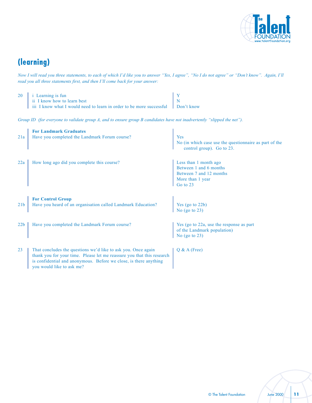

#### **(learning)**

*Now I will read you three statements, to each of which I'd like you to answer "Yes, I agree", "No I do not agree" or "Don't know". Again, I'll read you all three statements first, and then Iíll come back for your answer:*

| $20$ i Learning is fun                                                                                  |  |
|---------------------------------------------------------------------------------------------------------|--|
| ii I know how to learn best                                                                             |  |
| $\parallel$ iii I know what I would need to learn in order to be more successful $\parallel$ Don't know |  |

*Group ID (for everyone to validate group A, and to ensure group B candidates have not inadvertently "slipped the net").* 

|                 | <b>For Landmark Graduates</b>                                                                                                                                                                                                             |                                                                                                            |
|-----------------|-------------------------------------------------------------------------------------------------------------------------------------------------------------------------------------------------------------------------------------------|------------------------------------------------------------------------------------------------------------|
| 21a             | Have you completed the Landmark Forum course?                                                                                                                                                                                             | Yes<br>No (in which case use the questionnaire as part of the<br>control group). Go to 23.                 |
| 22a             | How long ago did you complete this course?                                                                                                                                                                                                | Less than 1 month ago<br>Between 1 and 6 months<br>Between 7 and 12 months<br>More than 1 year<br>Go to 23 |
| 21 <sub>b</sub> | <b>For Control Group</b><br>Have you heard of an organisation called Landmark Education?                                                                                                                                                  | Yes (go to 22b)<br>No (go to $23$ )                                                                        |
| 22b             | Have you completed the Landmark Forum course?                                                                                                                                                                                             | Yes (go to 22a, use the response as part<br>of the Landmark population)<br>No (go to $23$ )                |
| 23              | That concludes the questions we'd like to ask you. Once again<br>thank you for your time. Please let me reassure you that this research<br>is confidential and anonymous. Before we close, is there anything<br>you would like to ask me? | $Q & A$ (Free)                                                                                             |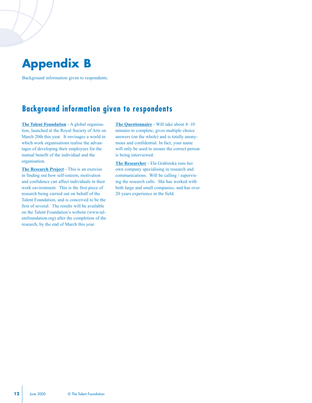### **Appendix B**

Background information given to respondents.

#### **Background information given to respondents**

**The Talent Foundation** - A global organisation, launched at the Royal Society of Arts on March 20th this year. It envisages a world in which work organisations realise the advantages of developing their employees for the mutual benefit of the individual and the organisation.

**The Research Project** - This is an exercise in finding out how self-esteem, motivation and confidence can affect individuals in their work environment. This is the first piece of research being carried out on behalf of the Talent Foundation, and is conceived to be the first of several. The results will be available on the Talent Foundation's website (www.talentfoundation.org) after the completion of the research, by the end of March this year.

**The Questionnaire** - Will take about 8-10 minutes to complete, gives multiple choice answers (on the whole) and is totally anonymous and confidential. In fact, your name will only be used to ensure the correct person is being interviewed.

**The Researcher** - Ela Grabinska runs her own company specialising in research and communications. Will be calling / supervising the research calls. She has worked with both large and small companies, and has over 20 years experience in the field.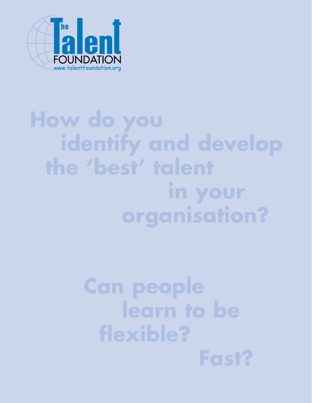

## **How do you identify and develop the 'best' talent in your organisation?**

## **Can people learn to be flexible?**